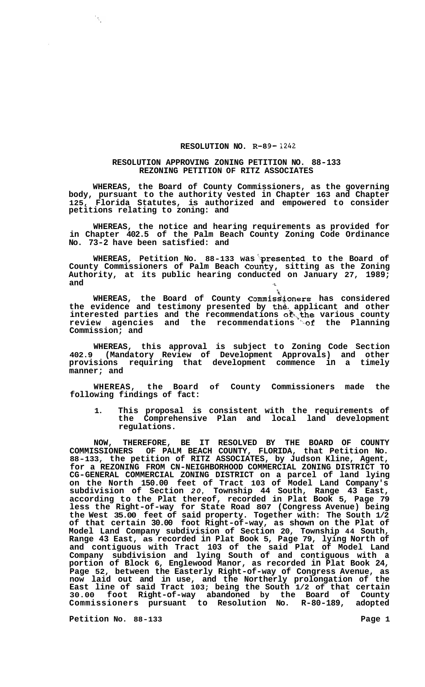## **RESOLUTION NO. R-89-** *1242*

## **RESOLUTION APPROVING ZONING PETITION NO. 88-133 REZONING PETITION OF RITZ ASSOCIATES**

**WHEREAS, the Board of County Commissioners, as the governing body, pursuant to the authority vested in Chapter 163 and Chapter 125, Florida Statutes, is authorized and empowered to consider petitions relating to zoning: and** 

**WHEREAS, the notice and hearing requirements as provided for in Chapter 402.5 of the Palm Beach County Zoning Code Ordinance No. 73-2 have been satisfied: and** 

WHEREAS, Petition No. 88-133 was presented to the Board of **County Commissioners of Palm Beach Courity, sitting as the Zoning Authority, at its public hearing conducted on January 27, 1989; and**  $\alpha$ 

%i **WHEREAS, the Board of County Commis34oners has considered the evidence and testimony presented by th& applicant and other**  interested parties and the recommendations of the various county review agencies and the recommendations of the Planning **Commission; and** 

**WHEREAS, this approval is subject to Zoning Code Section 402.9 (Mandatory Review of Development Approvals) and other provisions requiring that development commence in a timely manner; and** 

**WHEREAS, the Board of County Commissioners made the following findings of fact:** 

**1. This proposal is consistent with the requirements of the Comprehensive Plan and local land development regulations.** 

NOW, THEREFORE, BE IT RESOLVED BY THE BOARD OF COUNTY COMMISSIONERS OF PALM BEACH COUNTY, FLORIDA, that Petition No. OF PALM BEACH COUNTY, FLORIDA, that Petition No. **88-133, the petition of RITZ ASSOCIATES, by Judson Kline, Agent, for a REZONING FROM CN-NEIGHBORHOOD COMMERCIAL ZONING DISTRICT TO CG-GENERAL COMMERCIAL ZONING DISTRICT on a parcel of land lying on the North 150.00 feet of Tract 103 of Model Land Company's subdivision of Section** *20,* **Township 44 South, Range 43 East, according to the Plat thereof, recorded in Plat Book 5, Page 79 less the Right-of-way for State Road 807 (Congress Avenue) being the West 35.00 feet of said property. Together with: The South 1/2 of that certain 30.00 foot Right-of-way, as shown on the Plat of Model Land Company subdivision of Section 20, Township 44 South, Range 43 East, as recorded in Plat Book 5, Page 79, lying North of and contiguous with Tract 103 of the said Plat of Model Land Company subdivision and lying South of and contiguous with a portion of Block 6, Englewood Manor, as recorded in Plat Book 24, Page 52, between the Easterly Right-of-way of Congress Avenue, as now laid out and in use, and the Northerly prolongation of the East line of said Tract 103; being the South 1/2 of that certain 30.00 foot Right-of-way abandoned by the Board of County Commissioners pursuant to Resolution No. R-80-189, adopted** 

**Petition No.** 88-133 **Page 1** 

 $\ddot{\ddot{\gamma}}$